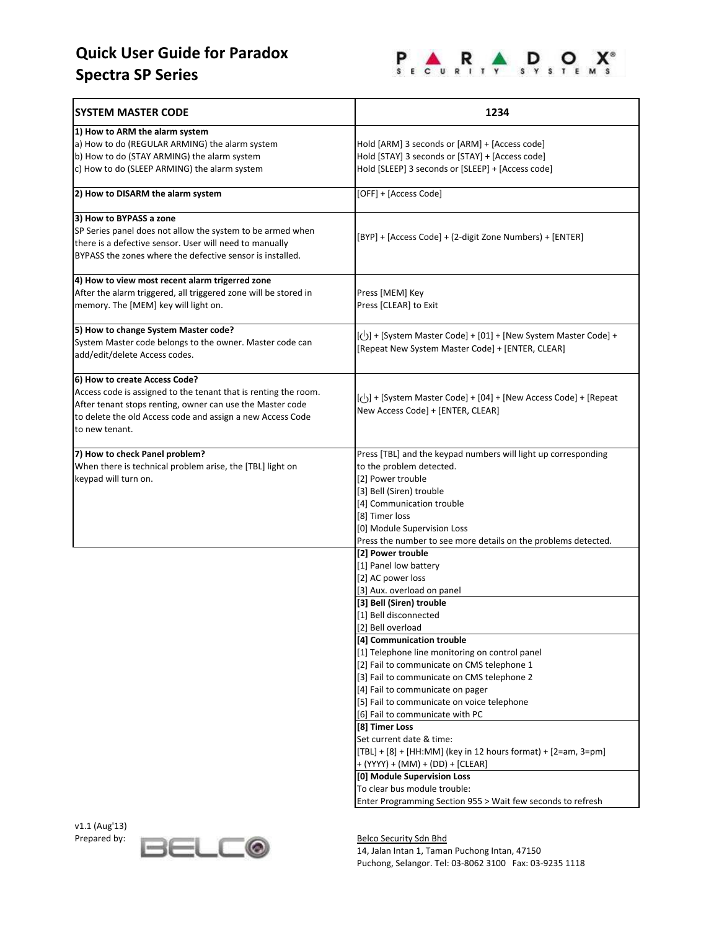# **Quick User Guide for Paradox Spectra SP Series**

v1.1 (Aug'13)



| <b>SYSTEM MASTER CODE</b>                                                                                                                                                                                                                     | 1234                                                                                                                                                                                                                                                                                                                                                                                                                                                                                                                                                                                                                                                                                                                                                     |
|-----------------------------------------------------------------------------------------------------------------------------------------------------------------------------------------------------------------------------------------------|----------------------------------------------------------------------------------------------------------------------------------------------------------------------------------------------------------------------------------------------------------------------------------------------------------------------------------------------------------------------------------------------------------------------------------------------------------------------------------------------------------------------------------------------------------------------------------------------------------------------------------------------------------------------------------------------------------------------------------------------------------|
| 1) How to ARM the alarm system<br>a) How to do (REGULAR ARMING) the alarm system<br>b) How to do (STAY ARMING) the alarm system<br>c) How to do (SLEEP ARMING) the alarm system                                                               | Hold [ARM] 3 seconds or [ARM] + [Access code]<br>Hold [STAY] 3 seconds or [STAY] + [Access code]<br>Hold [SLEEP] 3 seconds or [SLEEP] + [Access code]                                                                                                                                                                                                                                                                                                                                                                                                                                                                                                                                                                                                    |
| 2) How to DISARM the alarm system                                                                                                                                                                                                             | [OFF] + [Access Code]                                                                                                                                                                                                                                                                                                                                                                                                                                                                                                                                                                                                                                                                                                                                    |
| 3) How to BYPASS a zone<br>SP Series panel does not allow the system to be armed when<br>there is a defective sensor. User will need to manually<br>BYPASS the zones where the defective sensor is installed.                                 | [BYP] + [Access Code] + (2-digit Zone Numbers) + [ENTER]                                                                                                                                                                                                                                                                                                                                                                                                                                                                                                                                                                                                                                                                                                 |
| 4) How to view most recent alarm trigerred zone<br>After the alarm triggered, all triggered zone will be stored in<br>memory. The [MEM] key will light on.                                                                                    | Press [MEM] Key<br>Press [CLEAR] to Exit                                                                                                                                                                                                                                                                                                                                                                                                                                                                                                                                                                                                                                                                                                                 |
| 5) How to change System Master code?<br>System Master code belongs to the owner. Master code can<br>add/edit/delete Access codes.                                                                                                             | [U + [System Master Code] + [01] + [New System Master Code] +<br>[Repeat New System Master Code] + [ENTER, CLEAR]                                                                                                                                                                                                                                                                                                                                                                                                                                                                                                                                                                                                                                        |
| 6) How to create Access Code?<br>Access code is assigned to the tenant that is renting the room.<br>After tenant stops renting, owner can use the Master code<br>to delete the old Access code and assign a new Access Code<br>to new tenant. | $\vert \langle \cdot \vert \cdot \vert$ + [System Master Code] + [04] + [New Access Code] + [Repeat]<br>New Access Code] + [ENTER, CLEAR]                                                                                                                                                                                                                                                                                                                                                                                                                                                                                                                                                                                                                |
| 7) How to check Panel problem?<br>When there is technical problem arise, the [TBL] light on<br>keypad will turn on.                                                                                                                           | Press [TBL] and the keypad numbers will light up corresponding<br>to the problem detected.<br>[2] Power trouble<br>[3] Bell (Siren) trouble<br>[4] Communication trouble<br>[8] Timer loss<br>[0] Module Supervision Loss<br>Press the number to see more details on the problems detected.                                                                                                                                                                                                                                                                                                                                                                                                                                                              |
|                                                                                                                                                                                                                                               | [2] Power trouble<br>[1] Panel low battery<br>[2] AC power loss<br>[3] Aux. overload on panel<br>[3] Bell (Siren) trouble<br>[1] Bell disconnected<br>[2] Bell overload<br>[4] Communication trouble<br>[1] Telephone line monitoring on control panel<br>[2] Fail to communicate on CMS telephone 1<br>[3] Fail to communicate on CMS telephone 2<br>[4] Fail to communicate on pager<br>[5] Fail to communicate on voice telephone<br>[6] Fail to communicate with PC<br>[8] Timer Loss<br>Set current date & time:<br>[TBL] + [8] + [HH:MM] (key in 12 hours format) + [2=am, 3=pm]<br>+ (YYYY) + (MM) + (DD) + [CLEAR]<br>[0] Module Supervision Loss<br>To clear bus module trouble:<br>Enter Programming Section 955 > Wait few seconds to refresh |

Prepared by: **Belco Security Sdn Bhd**<br>14, Jalan Intan 1, Tamar 14, Jalan Intan 1, Taman Puchong Intan, 47150 Puchong, Selangor. Tel: 03-8062 3100 Fax: 03-9235 1118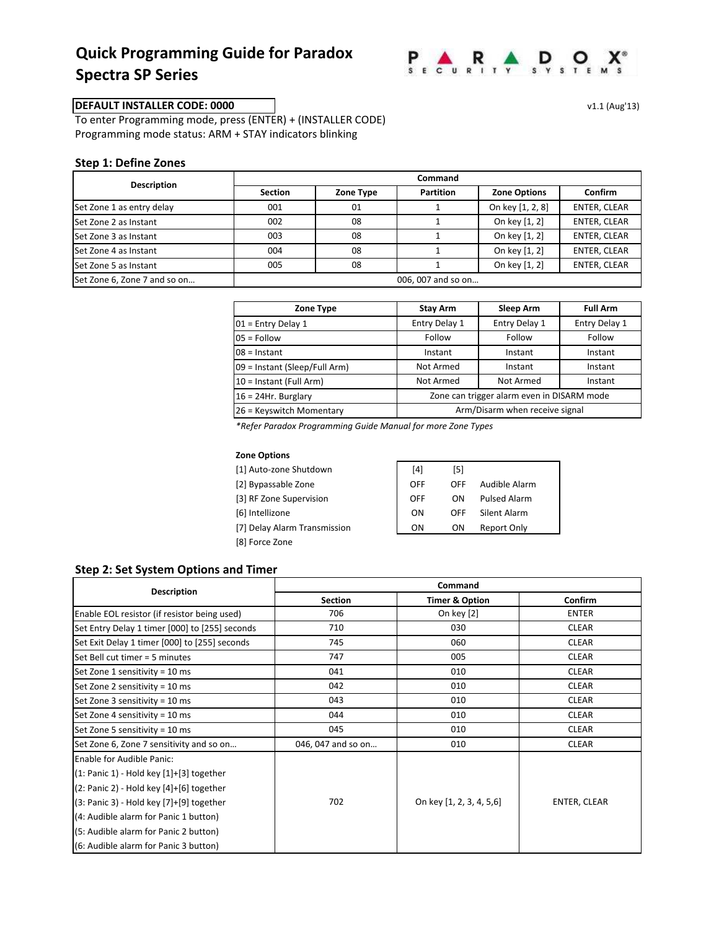## **Quick Programming Guide for Paradox Spectra SP Series**



### **DEFAULT INSTALLER CODE: 0000** v1.1 (Aug'13)

To enter Programming mode, press (ENTER) + (INSTALLER CODE) Programming mode status: ARM + STAY indicators blinking

#### **Step 1: Define Zones**

| <b>Description</b>           | Command            |           |                  |                     |                     |
|------------------------------|--------------------|-----------|------------------|---------------------|---------------------|
|                              | <b>Section</b>     | Zone Type | <b>Partition</b> | <b>Zone Options</b> | <b>Confirm</b>      |
| Set Zone 1 as entry delay    | 001                | 01        |                  | On key [1, 2, 8]    | <b>ENTER, CLEAR</b> |
| Set Zone 2 as Instant        | 002                | 08        |                  | On key [1, 2]       | ENTER, CLEAR        |
| Set Zone 3 as Instant        | 003                | 08        |                  | On key [1, 2]       | ENTER, CLEAR        |
| Set Zone 4 as Instant        | 004                | 08        |                  | On key [1, 2]       | <b>ENTER, CLEAR</b> |
| Set Zone 5 as Instant        | 005                | 08        |                  | On key [1, 2]       | <b>ENTER, CLEAR</b> |
| Set Zone 6, Zone 7 and so on | 006, 007 and so on |           |                  |                     |                     |

| Zone Type                     | Stay Arm                                   | Sleep Arm     | <b>Full Arm</b> |
|-------------------------------|--------------------------------------------|---------------|-----------------|
| $01$ = Entry Delay 1          | Entry Delay 1                              | Entry Delay 1 | Entry Delay 1   |
| $05 =$ Follow                 | Follow                                     | Follow        | Follow          |
| $08$ = Instant                | Instant                                    | Instant       | Instant         |
| 09 = Instant (Sleep/Full Arm) | Not Armed                                  | Instant       | Instant         |
| 10 = Instant (Full Arm)       | Not Armed                                  | Not Armed     | Instant         |
| $16 = 24$ Hr. Burglary        | Zone can trigger alarm even in DISARM mode |               |                 |
| 26 = Keyswitch Momentary      | Arm/Disarm when receive signal             |               |                 |

*\*Refer Paradox Programming Guide Manual for more Zone Types*

#### **Zone Options**

[1] Auto-zone Shutdown [2] Bypassable Zone [3] RF Zone Supervision  $[6]$  Intellizone [7] Delay Alarm Transmission [8] Force Zone

| [4] | [5] |                     |
|-----|-----|---------------------|
| OFF | OFF | Audible Alarm       |
| OFF | ΩN  | <b>Pulsed Alarm</b> |
| OΝ  | OFF | Silent Alarm        |
| ΩN  | OΝ  | Report Only         |

## **Step 2: Set System Options and Timer**

|                                                | Command            |                           |              |  |
|------------------------------------------------|--------------------|---------------------------|--------------|--|
| <b>Description</b>                             | <b>Section</b>     | <b>Timer &amp; Option</b> | Confirm      |  |
| Enable EOL resistor (if resistor being used)   | 706                | On key [2]                | <b>ENTER</b> |  |
| Set Entry Delay 1 timer [000] to [255] seconds | 710                | 030                       | <b>CLEAR</b> |  |
| Set Exit Delay 1 timer [000] to [255] seconds  | 745                | 060                       | <b>CLEAR</b> |  |
| Set Bell cut timer = 5 minutes                 | 747                | 005                       | <b>CLEAR</b> |  |
| Set Zone 1 sensitivity = $10$ ms               | 041                | 010                       | <b>CLEAR</b> |  |
| Set Zone 2 sensitivity = 10 ms                 | 042                | 010                       | <b>CLEAR</b> |  |
| Set Zone 3 sensitivity = 10 ms                 | 043                | 010                       | <b>CLEAR</b> |  |
| Set Zone 4 sensitivity = 10 ms                 | 044                | 010                       | <b>CLEAR</b> |  |
| Set Zone 5 sensitivity = 10 ms                 | 045                | 010                       | <b>CLEAR</b> |  |
| Set Zone 6, Zone 7 sensitivity and so on       | 046, 047 and so on | 010                       | <b>CLEAR</b> |  |
| Enable for Audible Panic:                      |                    |                           |              |  |
| $(1:$ Panic 1) - Hold key $[1]+[3]$ together   |                    |                           |              |  |
| $(2:$ Panic 2) - Hold key $[4]+[6]$ together   |                    |                           |              |  |
| $(3:$ Panic 3) - Hold key $[7]+[9]$ together   | 702                | On key [1, 2, 3, 4, 5, 6] | ENTER, CLEAR |  |
| (4: Audible alarm for Panic 1 button)          |                    |                           |              |  |
| (5: Audible alarm for Panic 2 button)          |                    |                           |              |  |
| (6: Audible alarm for Panic 3 button)          |                    |                           |              |  |